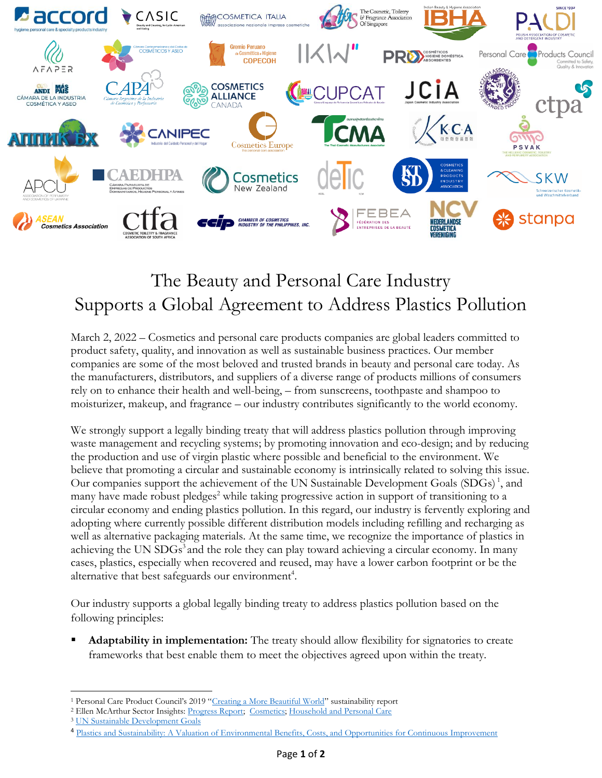

## The Beauty and Personal Care Industry Supports a Global Agreement to Address Plastics Pollution

March 2, 2022 – Cosmetics and personal care products companies are global leaders committed to product safety, quality, and innovation as well as sustainable business practices. Our member companies are some of the most beloved and trusted brands in beauty and personal care today. As the manufacturers, distributors, and suppliers of a diverse range of products millions of consumers rely on to enhance their health and well-being, – from sunscreens, toothpaste and shampoo to moisturizer, makeup, and fragrance – our industry contributes significantly to the world economy.

We strongly support a legally binding treaty that will address plastics pollution through improving waste management and recycling systems; by promoting innovation and eco-design; and by reducing the production and use of virgin plastic where possible and beneficial to the environment. We believe that promoting a circular and sustainable economy is intrinsically related to solving this issue. Our companies support the achievement of the UN Sustainable Development Goals (SDGs) 1 , and many have made robust pledges<sup>2</sup> while taking progressive action in support of transitioning to a circular economy and ending plastics pollution. In this regard, our industry is fervently exploring and adopting where currently possible different distribution models including refilling and recharging as well as alternative packaging materials. At the same time, we recognize the importance of plastics in achieving the UN SDGs<sup>3</sup> and the role they can play toward achieving a circular economy. In many cases, plastics, especially when recovered and reused, may have a lower carbon footprint or be the alternative that best safeguards our environment<sup>4</sup>.

Our industry supports a global legally binding treaty to address plastics pollution based on the following principles:

**Adaptability in implementation:** The treaty should allow flexibility for signatories to create frameworks that best enable them to meet the objectives agreed upon within the treaty.

<sup>&</sup>lt;sup>1</sup> Personal Care Product Council's 2019 "[Creating a More Beautiful World](https://www.personalcarecouncil.org/wp-content/uploads/2021/03/PCPC_Report_2019_March-2021.pdf)" sustainability report

<sup>&</sup>lt;sup>2</sup> Ellen McArthur Sector Insights: [Progress Report;](https://emf.thirdlight.com/link/n1ipti7a089d-ekf9l1/@/preview/1?o) [Cosmetics;](https://emf.thirdlight.com/link/k57w2wvgiu0c-usvrka/@/preview/1?o) [Household and Personal Care](https://emf.thirdlight.com/link/vmaq23u6lpbj-uadl7m/@/preview/1?o)

<sup>3</sup> [UN Sustainable Development Goals](https://sdgs.un.org/goals)

<sup>4</sup> [Plastics and Sustainability: A Valuation of Environmental Benefits, Costs, and Opportunities for Continuous Improvement](https://www.marinelittersolutions.com/wp-content/uploads/2016/07/Trucost-report-executive-summary.pdf)